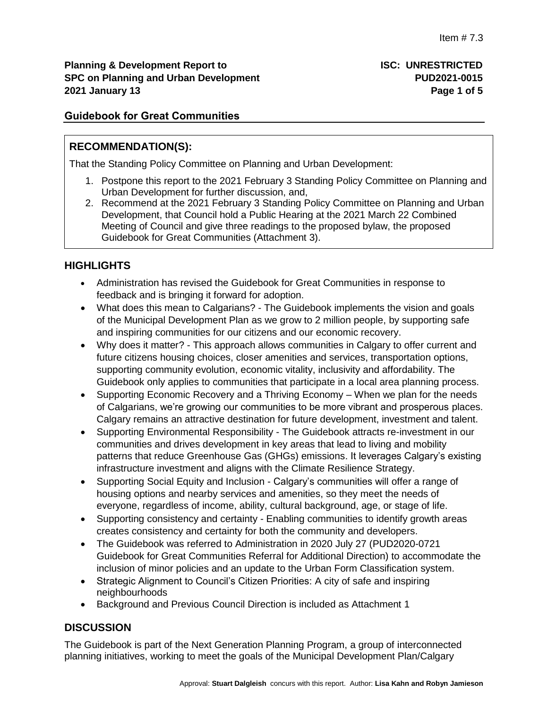## **Guidebook for Great Communities**

## **RECOMMENDATION(S):**

That the Standing Policy Committee on Planning and Urban Development:

- 1. Postpone this report to the 2021 February 3 Standing Policy Committee on Planning and Urban Development for further discussion, and,
- 2. Recommend at the 2021 February 3 Standing Policy Committee on Planning and Urban Development, that Council hold a Public Hearing at the 2021 March 22 Combined Meeting of Council and give three readings to the proposed bylaw, the proposed Guidebook for Great Communities (Attachment 3).

# **HIGHLIGHTS**

- Administration has revised the Guidebook for Great Communities in response to feedback and is bringing it forward for adoption.
- What does this mean to Calgarians? The Guidebook implements the vision and goals of the Municipal Development Plan as we grow to 2 million people, by supporting safe and inspiring communities for our citizens and our economic recovery.
- Why does it matter? This approach allows communities in Calgary to offer current and future citizens housing choices, closer amenities and services, transportation options, supporting community evolution, economic vitality, inclusivity and affordability. The Guidebook only applies to communities that participate in a local area planning process.
- Supporting Economic Recovery and a Thriving Economy When we plan for the needs of Calgarians, we're growing our communities to be more vibrant and prosperous places. Calgary remains an attractive destination for future development, investment and talent.
- Supporting Environmental Responsibility The Guidebook attracts re-investment in our communities and drives development in key areas that lead to living and mobility patterns that reduce Greenhouse Gas (GHGs) emissions. It leverages Calgary's existing infrastructure investment and aligns with the Climate Resilience Strategy.
- Supporting Social Equity and Inclusion Calgary's communities will offer a range of housing options and nearby services and amenities, so they meet the needs of everyone, regardless of income, ability, cultural background, age, or stage of life.
- Supporting consistency and certainty Enabling communities to identify growth areas creates consistency and certainty for both the community and developers.
- The Guidebook was referred to Administration in 2020 July 27 (PUD2020-0721 Guidebook for Great Communities Referral for Additional Direction) to accommodate the inclusion of minor policies and an update to the Urban Form Classification system.
- Strategic Alignment to Council's Citizen Priorities: A city of safe and inspiring neighbourhoods
- Background and Previous Council Direction is included as Attachment 1

## **DISCUSSION**

The Guidebook is part of the Next Generation Planning Program, a group of interconnected planning initiatives, working to meet the goals of the Municipal Development Plan/Calgary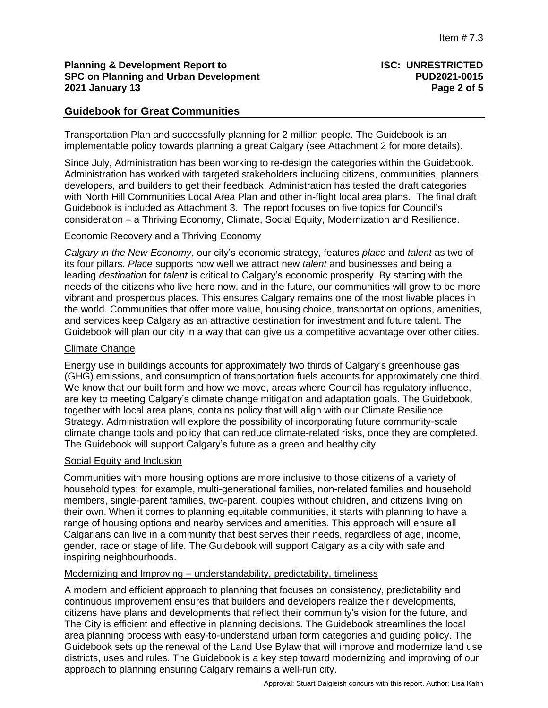### **Planning & Development Report to ISC: UNRESTRICTED SPC on Planning and Urban Development PUD2021-0015 2021 January 13 Page 2 of 5**

### **Guidebook for Great Communities**

Transportation Plan and successfully planning for 2 million people. The Guidebook is an implementable policy towards planning a great Calgary (see Attachment 2 for more details).

Since July, Administration has been working to re-design the categories within the Guidebook. Administration has worked with targeted stakeholders including citizens, communities, planners, developers, and builders to get their feedback. Administration has tested the draft categories with North Hill Communities Local Area Plan and other in-flight local area plans. The final draft Guidebook is included as Attachment 3. The report focuses on five topics for Council's consideration – a Thriving Economy, Climate, Social Equity, Modernization and Resilience.

### Economic Recovery and a Thriving Economy

*Calgary in the New Economy*, our city's economic strategy, features *place* and *talent* as two of its four pillars. *Place* supports how well we attract new *talent* and businesses and being a leading *destination* for *talent* is critical to Calgary's economic prosperity. By starting with the needs of the citizens who live here now, and in the future, our communities will grow to be more vibrant and prosperous places. This ensures Calgary remains one of the most livable places in the world. Communities that offer more value, housing choice, transportation options, amenities, and services keep Calgary as an attractive destination for investment and future talent. The Guidebook will plan our city in a way that can give us a competitive advantage over other cities.

### Climate Change

Energy use in buildings accounts for approximately two thirds of Calgary's greenhouse gas (GHG) emissions, and consumption of transportation fuels accounts for approximately one third. We know that our built form and how we move, areas where Council has regulatory influence, are key to meeting Calgary's climate change mitigation and adaptation goals. The Guidebook, together with local area plans, contains policy that will align with our Climate Resilience Strategy. Administration will explore the possibility of incorporating future community-scale climate change tools and policy that can reduce climate-related risks, once they are completed. The Guidebook will support Calgary's future as a green and healthy city.

### Social Equity and Inclusion

Communities with more housing options are more inclusive to those citizens of a variety of household types; for example, multi-generational families, non-related families and household members, single-parent families, two-parent, couples without children, and citizens living on their own. When it comes to planning equitable communities, it starts with planning to have a range of housing options and nearby services and amenities. This approach will ensure all Calgarians can live in a community that best serves their needs, regardless of age, income, gender, race or stage of life. The Guidebook will support Calgary as a city with safe and inspiring neighbourhoods.

#### Modernizing and Improving – understandability, predictability, timeliness

A modern and efficient approach to planning that focuses on consistency, predictability and continuous improvement ensures that builders and developers realize their developments, citizens have plans and developments that reflect their community's vision for the future, and The City is efficient and effective in planning decisions. The Guidebook streamlines the local area planning process with easy-to-understand urban form categories and guiding policy. The Guidebook sets up the renewal of the Land Use Bylaw that will improve and modernize land use districts, uses and rules. The Guidebook is a key step toward modernizing and improving of our approach to planning ensuring Calgary remains a well-run city.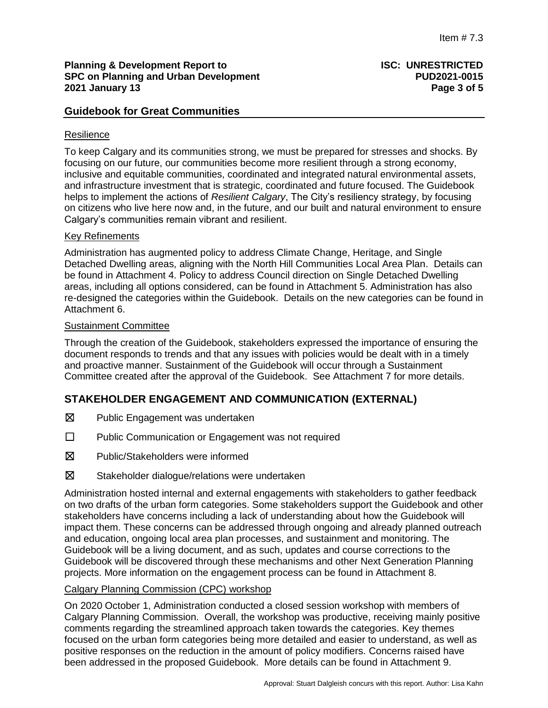### **Planning & Development Report to <b>ISC: UNRESTRICTED SPC on Planning and Urban Development PUD2021-0015 2021 January 13 Page 3 of 5**

## **Guidebook for Great Communities**

### **Resilience**

To keep Calgary and its communities strong, we must be prepared for stresses and shocks. By focusing on our future, our communities become more resilient through a strong economy, inclusive and equitable communities, coordinated and integrated natural environmental assets, and infrastructure investment that is strategic, coordinated and future focused. The Guidebook helps to implement the actions of *Resilient Calgary*, The City's resiliency strategy, by focusing on citizens who live here now and, in the future, and our built and natural environment to ensure Calgary's communities remain vibrant and resilient.

### Key Refinements

Administration has augmented policy to address Climate Change, Heritage, and Single Detached Dwelling areas, aligning with the North Hill Communities Local Area Plan. Details can be found in Attachment 4. Policy to address Council direction on Single Detached Dwelling areas, including all options considered, can be found in Attachment 5. Administration has also re-designed the categories within the Guidebook. Details on the new categories can be found in Attachment 6.

#### Sustainment Committee

Through the creation of the Guidebook, stakeholders expressed the importance of ensuring the document responds to trends and that any issues with policies would be dealt with in a timely and proactive manner. Sustainment of the Guidebook will occur through a Sustainment Committee created after the approval of the Guidebook. See Attachment 7 for more details.

## **STAKEHOLDER ENGAGEMENT AND COMMUNICATION (EXTERNAL)**

- ☒ Public Engagement was undertaken
- ☐ Public Communication or Engagement was not required
- ☒ Public/Stakeholders were informed
- ☒ Stakeholder dialogue/relations were undertaken

Administration hosted internal and external engagements with stakeholders to gather feedback on two drafts of the urban form categories. Some stakeholders support the Guidebook and other stakeholders have concerns including a lack of understanding about how the Guidebook will impact them. These concerns can be addressed through ongoing and already planned outreach and education, ongoing local area plan processes, and sustainment and monitoring. The Guidebook will be a living document, and as such, updates and course corrections to the Guidebook will be discovered through these mechanisms and other Next Generation Planning projects. More information on the engagement process can be found in Attachment 8.

### Calgary Planning Commission (CPC) workshop

On 2020 October 1, Administration conducted a closed session workshop with members of Calgary Planning Commission. Overall, the workshop was productive, receiving mainly positive comments regarding the streamlined approach taken towards the categories. Key themes focused on the urban form categories being more detailed and easier to understand, as well as positive responses on the reduction in the amount of policy modifiers. Concerns raised have been addressed in the proposed Guidebook. More details can be found in Attachment 9.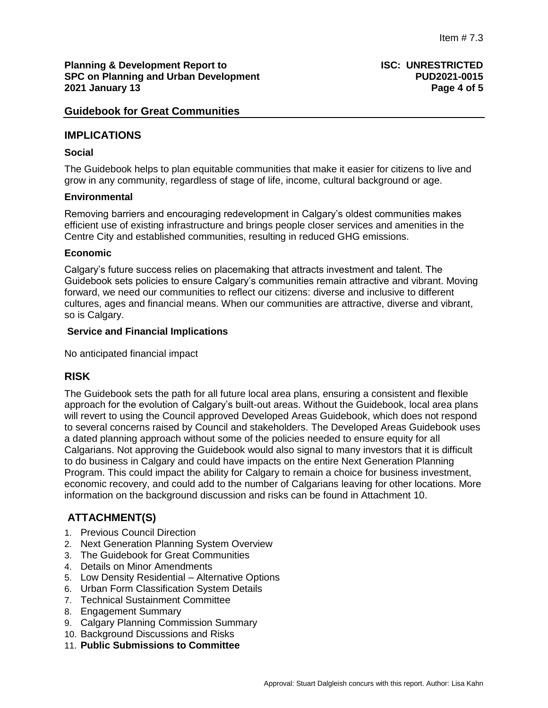#### **Planning & Development Report to <b>ISC: UNRESTRICTED SPC on Planning and Urban Development PUD2021-0015 2021 January 13 Page 4 of 5**

### **Guidebook for Great Communities**

### **IMPLICATIONS**

### **Social**

The Guidebook helps to plan equitable communities that make it easier for citizens to live and grow in any community, regardless of stage of life, income, cultural background or age.

### **Environmental**

Removing barriers and encouraging redevelopment in Calgary's oldest communities makes efficient use of existing infrastructure and brings people closer services and amenities in the Centre City and established communities, resulting in reduced GHG emissions.

### **Economic**

Calgary's future success relies on placemaking that attracts investment and talent. The Guidebook sets policies to ensure Calgary's communities remain attractive and vibrant. Moving forward, we need our communities to reflect our citizens: diverse and inclusive to different cultures, ages and financial means. When our communities are attractive, diverse and vibrant, so is Calgary.

### **Service and Financial Implications**

No anticipated financial impact

## **RISK**

The Guidebook sets the path for all future local area plans, ensuring a consistent and flexible approach for the evolution of Calgary's built-out areas. Without the Guidebook, local area plans will revert to using the Council approved Developed Areas Guidebook, which does not respond to several concerns raised by Council and stakeholders. The Developed Areas Guidebook uses a dated planning approach without some of the policies needed to ensure equity for all Calgarians. Not approving the Guidebook would also signal to many investors that it is difficult to do business in Calgary and could have impacts on the entire Next Generation Planning Program. This could impact the ability for Calgary to remain a choice for business investment, economic recovery, and could add to the number of Calgarians leaving for other locations. More information on the background discussion and risks can be found in Attachment 10.

# **ATTACHMENT(S)**

- 1. Previous Council Direction
- 2. Next Generation Planning System Overview
- 3. The Guidebook for Great Communities
- 4. Details on Minor Amendments
- 5. Low Density Residential Alternative Options
- 6. Urban Form Classification System Details
- 7. Technical Sustainment Committee
- 8. Engagement Summary
- 9. Calgary Planning Commission Summary
- 10. Background Discussions and Risks
- 11. **Public Submissions to Committee**